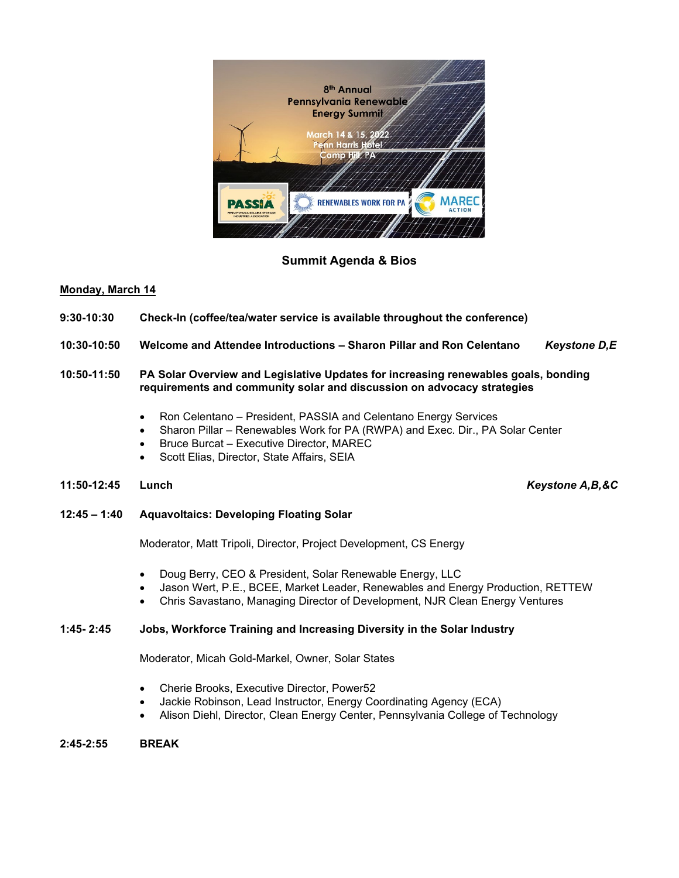

## **Summit Agenda & Bios**

#### **Monday, March 14**

- **9:30-10:30 Check-In (coffee/tea/water service is available throughout the conference)**
- **10:30-10:50 Welcome and Attendee Introductions – Sharon Pillar and Ron Celentano** *Keystone D,E*
- **10:50-11:50 PA Solar Overview and Legislative Updates for increasing renewables goals, bonding requirements and community solar and discussion on advocacy strategies**
	- Ron Celentano President, PASSIA and Celentano Energy Services
	- Sharon Pillar Renewables Work for PA (RWPA) and Exec. Dir., PA Solar Center
	- Bruce Burcat Executive Director, MAREC
	- Scott Elias, Director, State Affairs, SEIA
- **11:50-12:45 Lunch** *Keystone A,B,&C*

**12:45 – 1:40 Aquavoltaics: Developing Floating Solar**

Moderator, Matt Tripoli, Director, Project Development, CS Energy

- Doug Berry, CEO & President, Solar Renewable Energy, LLC
- Jason Wert, P.E., BCEE, Market Leader, Renewables and Energy Production, RETTEW
- Chris Savastano, Managing Director of Development, NJR Clean Energy Ventures

#### **1:45- 2:45 Jobs, Workforce Training and Increasing Diversity in the Solar Industry**

Moderator, Micah Gold-Markel, Owner, Solar States

- Cherie Brooks, Executive Director, Power52
- Jackie Robinson, Lead Instructor, Energy Coordinating Agency (ECA)
- Alison Diehl, Director, Clean Energy Center, Pennsylvania College of Technology

#### **2:45-2:55 BREAK**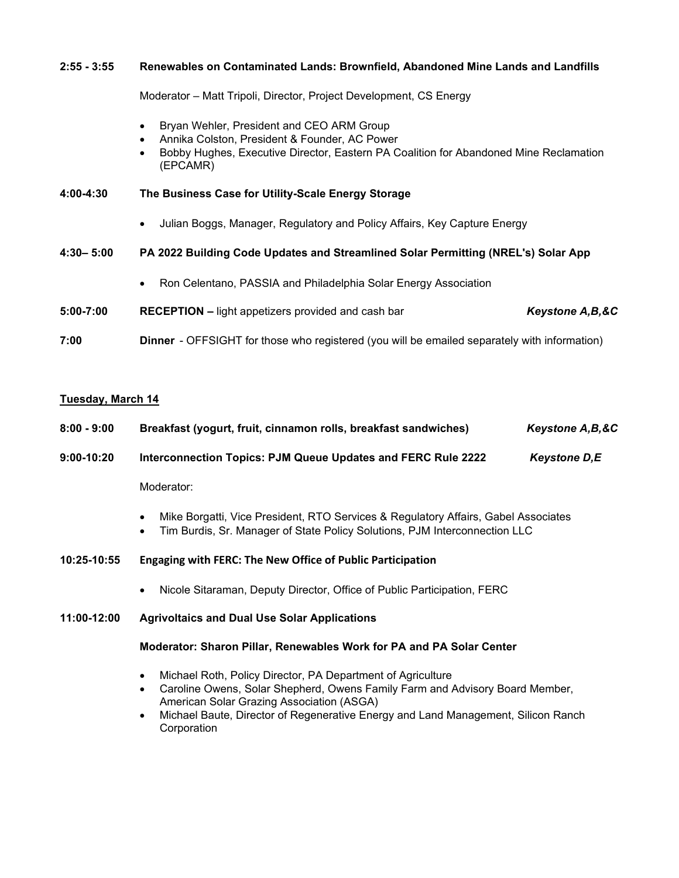# **2:55 - 3:55 Renewables on Contaminated Lands: Brownfield, Abandoned Mine Lands and Landfills**  Moderator – Matt Tripoli, Director, Project Development, CS Energy • Bryan Wehler, President and CEO ARM Group • Annika Colston, President & Founder, AC Power • Bobby Hughes, Executive Director, Eastern PA Coalition for Abandoned Mine Reclamation (EPCAMR) **4:00-4:30 The Business Case for Utility-Scale Energy Storage** • Julian Boggs, Manager, Regulatory and Policy Affairs, Key Capture Energy **4:30– 5:00 PA 2022 Building Code Updates and Streamlined Solar Permitting (NREL's) Solar App** • Ron Celentano, PASSIA and Philadelphia Solar Energy Association

- **5:00-7:00 RECEPTION –** light appetizers provided and cash bar *Keystone A,B,&C*
- **7:00 Dinner** OFFSIGHT for those who registered (you will be emailed separately with information)

# **Tuesday, March 14**

| $8:00 - 9:00$ | Breakfast (yogurt, fruit, cinnamon rolls, breakfast sandwiches)                                                                                                                                       | Keystone A, B, & C  |
|---------------|-------------------------------------------------------------------------------------------------------------------------------------------------------------------------------------------------------|---------------------|
| $9:00-10:20$  | Interconnection Topics: PJM Queue Updates and FERC Rule 2222                                                                                                                                          | <b>Keystone D,E</b> |
|               | Moderator:                                                                                                                                                                                            |                     |
|               | Mike Borgatti, Vice President, RTO Services & Regulatory Affairs, Gabel Associates<br>Tim Burdis, Sr. Manager of State Policy Solutions, PJM Interconnection LLC                                      |                     |
| 10:25-10:55   | <b>Engaging with FERC: The New Office of Public Participation</b>                                                                                                                                     |                     |
|               | Nicole Sitaraman, Deputy Director, Office of Public Participation, FERC                                                                                                                               |                     |
| 11:00-12:00   | <b>Agrivoltaics and Dual Use Solar Applications</b>                                                                                                                                                   |                     |
|               | Moderator: Sharon Pillar, Renewables Work for PA and PA Solar Center                                                                                                                                  |                     |
|               | Michael Roth, Policy Director, PA Department of Agriculture<br>Caroline Owens, Solar Shepherd, Owens Family Farm and Advisory Board Member,<br>$\bullet$<br>American Solar Grazing Association (ASGA) |                     |

• Michael Baute, Director of Regenerative Energy and Land Management, Silicon Ranch **Corporation**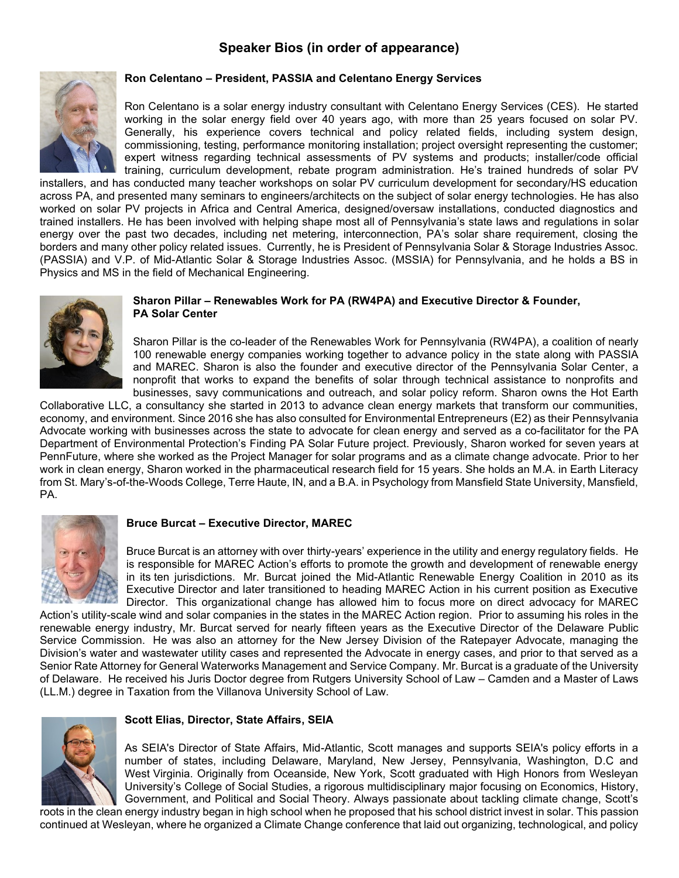# **Speaker Bios (in order of appearance)**



#### **Ron Celentano – President, PASSIA and Celentano Energy Services**

Ron Celentano is a solar energy industry consultant with Celentano Energy Services (CES). He started working in the solar energy field over 40 years ago, with more than 25 years focused on solar PV. Generally, his experience covers technical and policy related fields, including system design, commissioning, testing, performance monitoring installation; project oversight representing the customer; expert witness regarding technical assessments of PV systems and products; installer/code official training, curriculum development, rebate program administration. He's trained hundreds of solar PV

installers, and has conducted many teacher workshops on solar PV curriculum development for secondary/HS education across PA, and presented many seminars to engineers/architects on the subject of solar energy technologies. He has also worked on solar PV projects in Africa and Central America, designed/oversaw installations, conducted diagnostics and trained installers. He has been involved with helping shape most all of Pennsylvania's state laws and regulations in solar energy over the past two decades, including net metering, interconnection, PA's solar share requirement, closing the borders and many other policy related issues. Currently, he is President of Pennsylvania Solar & Storage Industries Assoc. (PASSIA) and V.P. of Mid-Atlantic Solar & Storage Industries Assoc. (MSSIA) for Pennsylvania, and he holds a BS in Physics and MS in the field of Mechanical Engineering.



#### **Sharon Pillar – Renewables Work for PA (RW4PA) and Executive Director & Founder, PA Solar Center**

Sharon Pillar is the co-leader of the Renewables Work for Pennsylvania (RW4PA), a coalition of nearly 100 renewable energy companies working together to advance policy in the state along with PASSIA and MAREC. Sharon is also the founder and executive director of the Pennsylvania Solar Center, a nonprofit that works to expand the benefits of solar through technical assistance to nonprofits and businesses, savy communications and outreach, and solar policy reform. Sharon owns the Hot Earth

Collaborative LLC, a consultancy she started in 2013 to advance clean energy markets that transform our communities, economy, and environment. Since 2016 she has also consulted for Environmental Entrepreneurs (E2) as their Pennsylvania Advocate working with businesses across the state to advocate for clean energy and served as a co-facilitator for the PA Department of Environmental Protection's Finding PA Solar Future project. Previously, Sharon worked for seven years at PennFuture, where she worked as the Project Manager for solar programs and as a climate change advocate. Prior to her work in clean energy, Sharon worked in the pharmaceutical research field for 15 years. She holds an M.A. in Earth Literacy from St. Mary's-of-the-Woods College, Terre Haute, IN, and a B.A. in Psychology from Mansfield State University, Mansfield, PA.



#### **Bruce Burcat – Executive Director, MAREC**

Bruce Burcat is an attorney with over thirty-years' experience in the utility and energy regulatory fields. He is responsible for MAREC Action's efforts to promote the growth and development of renewable energy in its ten jurisdictions. Mr. Burcat joined the Mid-Atlantic Renewable Energy Coalition in 2010 as its Executive Director and later transitioned to heading MAREC Action in his current position as Executive Director. This organizational change has allowed him to focus more on direct advocacy for MAREC

Action's utility-scale wind and solar companies in the states in the MAREC Action region. Prior to assuming his roles in the renewable energy industry, Mr. Burcat served for nearly fifteen years as the Executive Director of the Delaware Public Service Commission. He was also an attorney for the New Jersey Division of the Ratepayer Advocate, managing the Division's water and wastewater utility cases and represented the Advocate in energy cases, and prior to that served as a Senior Rate Attorney for General Waterworks Management and Service Company. Mr. Burcat is a graduate of the University of Delaware. He received his Juris Doctor degree from Rutgers University School of Law – Camden and a Master of Laws (LL.M.) degree in Taxation from the Villanova University School of Law.



#### **Scott Elias, Director, State Affairs, SEIA**

As SEIA's Director of State Affairs, Mid-Atlantic, Scott manages and supports SEIA's policy efforts in a number of states, including Delaware, Maryland, New Jersey, Pennsylvania, Washington, D.C and West Virginia. Originally from Oceanside, New York, Scott graduated with High Honors from Wesleyan University's College of Social Studies, a rigorous multidisciplinary major focusing on Economics, History, Government, and Political and Social Theory. Always passionate about tackling climate change, Scott's

roots in the clean energy industry began in high school when he proposed that his school district invest in solar. This passion continued at Wesleyan, where he organized a Climate Change conference that laid out organizing, technological, and policy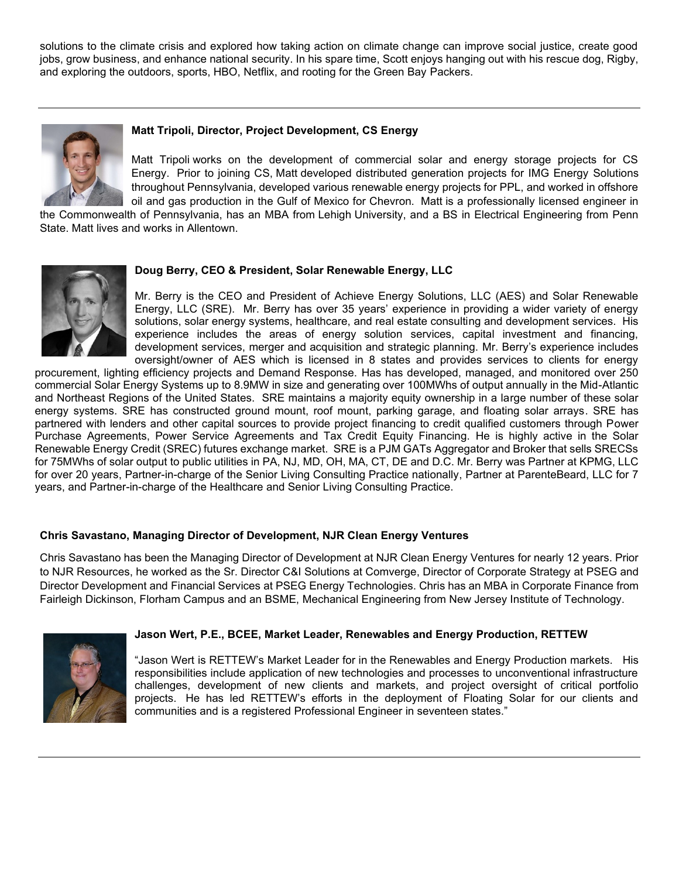solutions to the climate crisis and explored how taking action on climate change can improve social justice, create good jobs, grow business, and enhance national security. In his spare time, Scott enjoys hanging out with his rescue dog, Rigby, and exploring the outdoors, sports, HBO, Netflix, and rooting for the Green Bay Packers.



#### **Matt Tripoli, Director, Project Development, CS Energy**

Matt Tripoli works on the development of commercial solar and energy storage projects for CS Energy. Prior to joining CS, Matt developed distributed generation projects for IMG Energy Solutions throughout Pennsylvania, developed various renewable energy projects for PPL, and worked in offshore oil and gas production in the Gulf of Mexico for Chevron. Matt is a professionally licensed engineer in

the Commonwealth of Pennsylvania, has an MBA from Lehigh University, and a BS in Electrical Engineering from Penn State. Matt lives and works in Allentown.



#### **Doug Berry, CEO & President, Solar Renewable Energy, LLC**

Mr. Berry is the CEO and President of Achieve Energy Solutions, LLC (AES) and Solar Renewable Energy, LLC (SRE). Mr. Berry has over 35 years' experience in providing a wider variety of energy solutions, solar energy systems, healthcare, and real estate consulting and development services. His experience includes the areas of energy solution services, capital investment and financing, development services, merger and acquisition and strategic planning. Mr. Berry's experience includes oversight/owner of AES which is licensed in 8 states and provides services to clients for energy

procurement, lighting efficiency projects and Demand Response. Has has developed, managed, and monitored over 250 commercial Solar Energy Systems up to 8.9MW in size and generating over 100MWhs of output annually in the Mid-Atlantic and Northeast Regions of the United States. SRE maintains a majority equity ownership in a large number of these solar energy systems. SRE has constructed ground mount, roof mount, parking garage, and floating solar arrays. SRE has partnered with lenders and other capital sources to provide project financing to credit qualified customers through Power Purchase Agreements, Power Service Agreements and Tax Credit Equity Financing. He is highly active in the Solar Renewable Energy Credit (SREC) futures exchange market. SRE is a PJM GATs Aggregator and Broker that sells SRECSs for 75MWhs of solar output to public utilities in PA, NJ, MD, OH, MA, CT, DE and D.C. Mr. Berry was Partner at KPMG, LLC for over 20 years, Partner-in-charge of the Senior Living Consulting Practice nationally, Partner at ParenteBeard, LLC for 7 years, and Partner-in-charge of the Healthcare and Senior Living Consulting Practice.

#### **Chris Savastano, Managing Director of Development, NJR Clean Energy Ventures**

Chris Savastano has been the Managing Director of Development at NJR Clean Energy Ventures for nearly 12 years. Prior to NJR Resources, he worked as the Sr. Director C&I Solutions at Comverge, Director of Corporate Strategy at PSEG and Director Development and Financial Services at PSEG Energy Technologies. Chris has an MBA in Corporate Finance from Fairleigh Dickinson, Florham Campus and an BSME, Mechanical Engineering from New Jersey Institute of Technology.



#### **Jason Wert, P.E., BCEE, Market Leader, Renewables and Energy Production, RETTEW**

"Jason Wert is RETTEW's Market Leader for in the Renewables and Energy Production markets. His responsibilities include application of new technologies and processes to unconventional infrastructure challenges, development of new clients and markets, and project oversight of critical portfolio projects. He has led RETTEW's efforts in the deployment of Floating Solar for our clients and communities and is a registered Professional Engineer in seventeen states."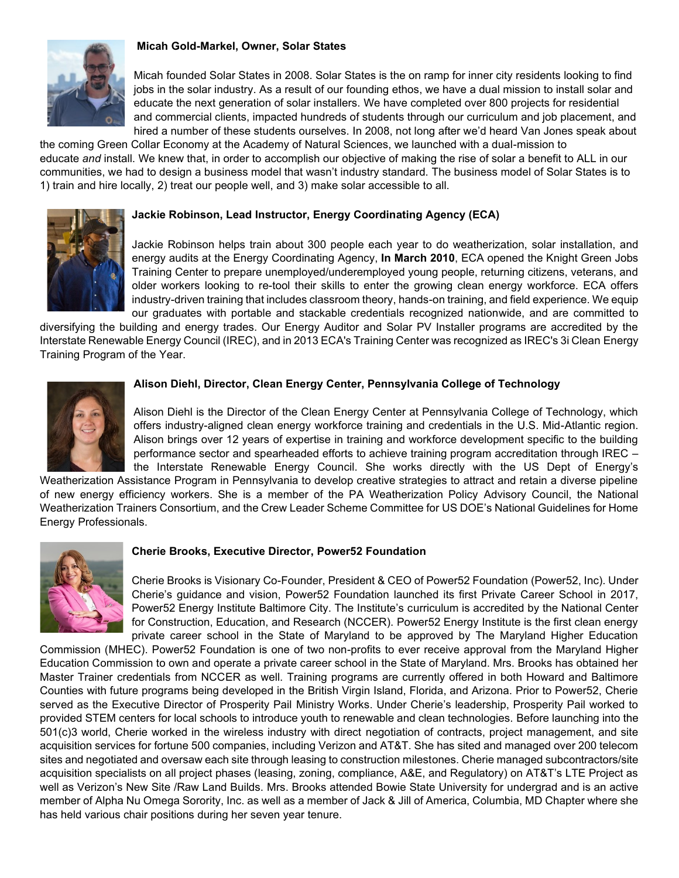#### **Micah Gold-Markel, Owner, Solar States**



Micah founded Solar States in 2008. Solar States is the on ramp for inner city residents looking to find jobs in the solar industry. As a result of our founding ethos, we have a dual mission to install solar and educate the next generation of solar installers. We have completed over 800 projects for residential and commercial clients, impacted hundreds of students through our curriculum and job placement, and hired a number of these students ourselves. In 2008, not long after we'd heard Van Jones speak about

the coming Green Collar Economy at the Academy of Natural Sciences, we launched with a dual-mission to educate *and* install. We knew that, in order to accomplish our objective of making the rise of solar a benefit to ALL in our communities, we had to design a business model that wasn't industry standard. The business model of Solar States is to 1) train and hire locally, 2) treat our people well, and 3) make solar accessible to all.

#### **Jackie Robinson, Lead Instructor, Energy Coordinating Agency (ECA)**



Jackie Robinson helps train about 300 people each year to do weatherization, solar installation, and energy audits at the Energy Coordinating Agency, **In March 2010**, ECA opened the Knight Green Jobs Training Center to prepare unemployed/underemployed young people, returning citizens, veterans, and older workers looking to re-tool their skills to enter the growing clean energy workforce. ECA offers industry-driven training that includes classroom theory, hands-on training, and field experience. We equip our graduates with portable and stackable credentials recognized nationwide, and are committed to

diversifying the building and energy trades. Our Energy Auditor and Solar PV Installer programs are accredited by the Interstate Renewable Energy Council (IREC), and in 2013 ECA's Training Center was recognized as IREC's 3i Clean Energy Training Program of the Year.



### **Alison Diehl, Director, Clean Energy Center, Pennsylvania College of Technology**

Alison Diehl is the Director of the Clean Energy Center at Pennsylvania College of Technology, which offers industry-aligned clean energy workforce training and credentials in the U.S. Mid-Atlantic region. Alison brings over 12 years of expertise in training and workforce development specific to the building performance sector and spearheaded efforts to achieve training program accreditation through IREC – the Interstate Renewable Energy Council. She works directly with the US Dept of Energy's

Weatherization Assistance Program in Pennsylvania to develop creative strategies to attract and retain a diverse pipeline of new energy efficiency workers. She is a member of the PA Weatherization Policy Advisory Council, the National Weatherization Trainers Consortium, and the Crew Leader Scheme Committee for US DOE's National Guidelines for Home Energy Professionals.



#### **Cherie Brooks, Executive Director, Power52 Foundation**

Cherie Brooks is Visionary Co-Founder, President & CEO of Power52 Foundation (Power52, Inc). Under Cherie's guidance and vision, Power52 Foundation launched its first Private Career School in 2017, Power52 Energy Institute Baltimore City. The Institute's curriculum is accredited by the National Center for Construction, Education, and Research (NCCER). Power52 Energy Institute is the first clean energy private career school in the State of Maryland to be approved by The Maryland Higher Education

Commission (MHEC). Power52 Foundation is one of two non-profits to ever receive approval from the Maryland Higher Education Commission to own and operate a private career school in the State of Maryland. Mrs. Brooks has obtained her Master Trainer credentials from NCCER as well. Training programs are currently offered in both Howard and Baltimore Counties with future programs being developed in the British Virgin Island, Florida, and Arizona. Prior to Power52, Cherie served as the Executive Director of Prosperity Pail Ministry Works. Under Cherie's leadership, Prosperity Pail worked to provided STEM centers for local schools to introduce youth to renewable and clean technologies. Before launching into the 501(c)3 world, Cherie worked in the wireless industry with direct negotiation of contracts, project management, and site acquisition services for fortune 500 companies, including Verizon and AT&T. She has sited and managed over 200 telecom sites and negotiated and oversaw each site through leasing to construction milestones. Cherie managed subcontractors/site acquisition specialists on all project phases (leasing, zoning, compliance, A&E, and Regulatory) on AT&T's LTE Project as well as Verizon's New Site /Raw Land Builds. Mrs. Brooks attended Bowie State University for undergrad and is an active member of Alpha Nu Omega Sorority, Inc. as well as a member of Jack & Jill of America, Columbia, MD Chapter where she has held various chair positions during her seven year tenure.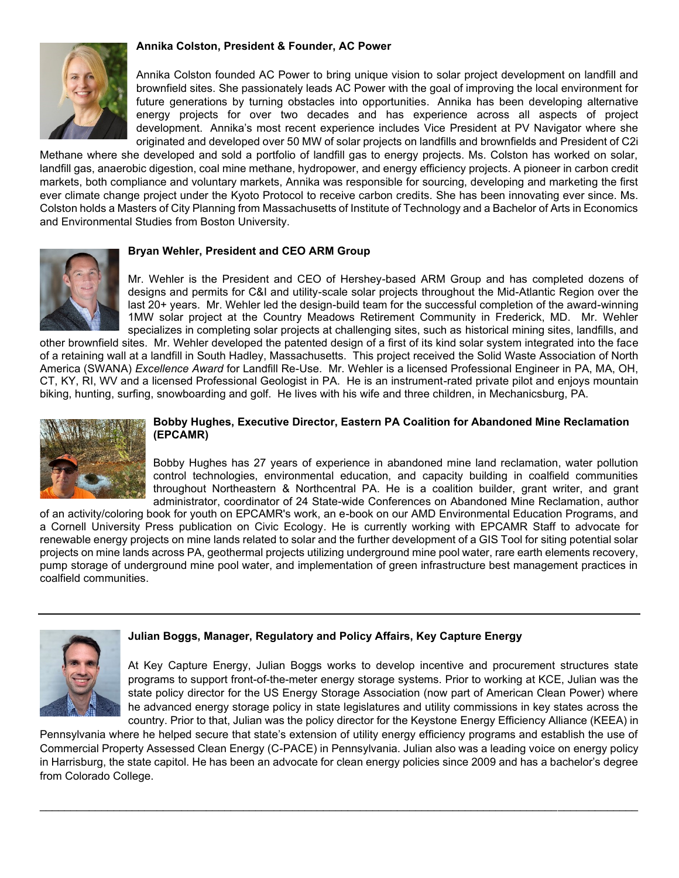#### **Annika Colston, President & Founder, AC Power**



Annika Colston founded AC Power to bring unique vision to solar project development on landfill and brownfield sites. She passionately leads AC Power with the goal of improving the local environment for future generations by turning obstacles into opportunities. Annika has been developing alternative energy projects for over two decades and has experience across all aspects of project development. Annika's most recent experience includes Vice President at PV Navigator where she originated and developed over 50 MW of solar projects on landfills and brownfields and President of C2i

Methane where she developed and sold a portfolio of landfill gas to energy projects. Ms. Colston has worked on solar, landfill gas, anaerobic digestion, coal mine methane, hydropower, and energy efficiency projects. A pioneer in carbon credit markets, both compliance and voluntary markets, Annika was responsible for sourcing, developing and marketing the first ever climate change project under the Kyoto Protocol to receive carbon credits. She has been innovating ever since. Ms. Colston holds a Masters of City Planning from Massachusetts of Institute of Technology and a Bachelor of Arts in Economics and Environmental Studies from Boston University.



#### **Bryan Wehler, President and CEO ARM Group**

Mr. Wehler is the President and CEO of Hershey-based ARM Group and has completed dozens of designs and permits for C&I and utility-scale solar projects throughout the Mid-Atlantic Region over the last 20+ years. Mr. Wehler led the design-build team for the successful completion of the award-winning 1MW solar project at the Country Meadows Retirement Community in Frederick, MD. Mr. Wehler specializes in completing solar projects at challenging sites, such as historical mining sites, landfills, and

other brownfield sites. Mr. Wehler developed the patented design of a first of its kind solar system integrated into the face of a retaining wall at a landfill in South Hadley, Massachusetts. This project received the Solid Waste Association of North America (SWANA) *Excellence Award* for Landfill Re-Use. Mr. Wehler is a licensed Professional Engineer in PA, MA, OH, CT, KY, RI, WV and a licensed Professional Geologist in PA. He is an instrument-rated private pilot and enjoys mountain biking, hunting, surfing, snowboarding and golf. He lives with his wife and three children, in Mechanicsburg, PA.



#### **Bobby Hughes, Executive Director, Eastern PA Coalition for Abandoned Mine Reclamation (EPCAMR)**

Bobby Hughes has 27 years of experience in abandoned mine land reclamation, water pollution control technologies, environmental education, and capacity building in coalfield communities throughout Northeastern & Northcentral PA. He is a coalition builder, grant writer, and grant administrator, coordinator of 24 State-wide Conferences on Abandoned Mine Reclamation, author

of an activity/coloring book for youth on EPCAMR's work, an e-book on our AMD Environmental Education Programs, and a Cornell University Press publication on Civic Ecology. He is currently working with EPCAMR Staff to advocate for renewable energy projects on mine lands related to solar and the further development of a GIS Tool for siting potential solar projects on mine lands across PA, geothermal projects utilizing underground mine pool water, rare earth elements recovery, pump storage of underground mine pool water, and implementation of green infrastructure best management practices in coalfield communities.



#### **Julian Boggs, Manager, Regulatory and Policy Affairs, Key Capture Energy**

At Key Capture Energy, Julian Boggs works to develop incentive and procurement structures state programs to support front-of-the-meter energy storage systems. Prior to working at KCE, Julian was the state policy director for the US Energy Storage Association (now part of American Clean Power) where he advanced energy storage policy in state legislatures and utility commissions in key states across the country. Prior to that, Julian was the policy director for the Keystone Energy Efficiency Alliance (KEEA) in

Pennsylvania where he helped secure that state's extension of utility energy efficiency programs and establish the use of Commercial Property Assessed Clean Energy (C-PACE) in Pennsylvania. Julian also was a leading voice on energy policy in Harrisburg, the state capitol. He has been an advocate for clean energy policies since 2009 and has a bachelor's degree from Colorado College.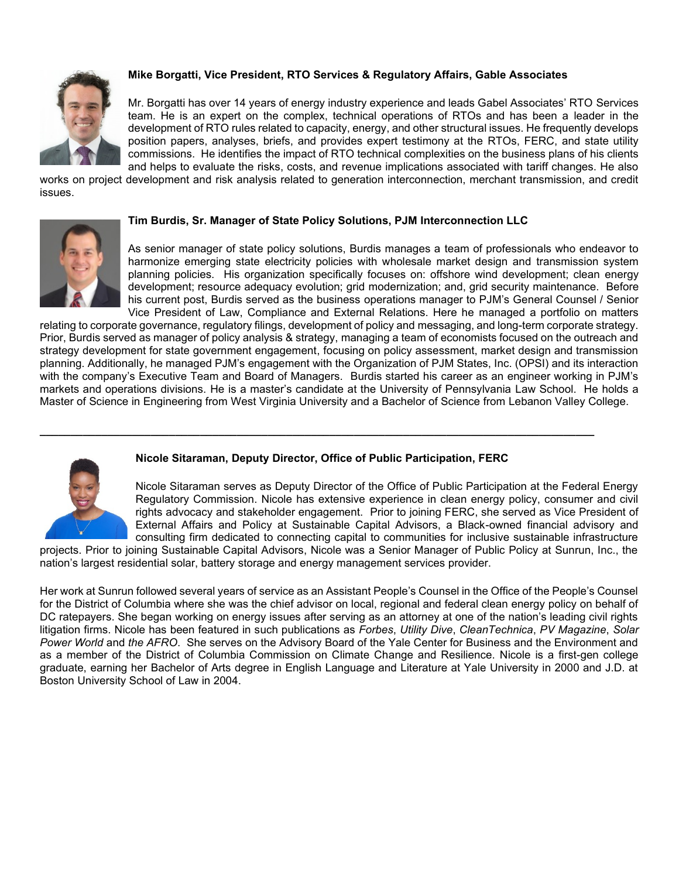

### **Mike Borgatti, Vice President, RTO Services & Regulatory Affairs, Gable Associates**

Mr. Borgatti has over 14 years of energy industry experience and leads Gabel Associates' RTO Services team. He is an expert on the complex, technical operations of RTOs and has been a leader in the development of RTO rules related to capacity, energy, and other structural issues. He frequently develops position papers, analyses, briefs, and provides expert testimony at the RTOs, FERC, and state utility commissions. He identifies the impact of RTO technical complexities on the business plans of his clients and helps to evaluate the risks, costs, and revenue implications associated with tariff changes. He also

works on project development and risk analysis related to generation interconnection, merchant transmission, and credit issues.



#### **Tim Burdis, Sr. Manager of State Policy Solutions, PJM Interconnection LLC**

As senior manager of state policy solutions, Burdis manages a team of professionals who endeavor to harmonize emerging state electricity policies with wholesale market design and transmission system planning policies. His organization specifically focuses on: offshore wind development; clean energy development; resource adequacy evolution; grid modernization; and, grid security maintenance. Before his current post, Burdis served as the business operations manager to PJM's General Counsel / Senior Vice President of Law, Compliance and External Relations. Here he managed a portfolio on matters

relating to corporate governance, regulatory filings, development of policy and messaging, and long-term corporate strategy. Prior, Burdis served as manager of policy analysis & strategy, managing a team of economists focused on the outreach and strategy development for state government engagement, focusing on policy assessment, market design and transmission planning. Additionally, he managed PJM's engagement with the Organization of PJM States, Inc. (OPSI) and its interaction with the company's Executive Team and Board of Managers. Burdis started his career as an engineer working in PJM's markets and operations divisions. He is a master's candidate at the University of Pennsylvania Law School. He holds a Master of Science in Engineering from West Virginia University and a Bachelor of Science from Lebanon Valley College.

#### **Nicole Sitaraman, Deputy Director, Office of Public Participation, FERC**

**\_\_\_\_\_\_\_\_\_\_\_\_\_\_\_\_\_\_\_\_\_\_\_\_\_\_\_\_\_\_\_\_\_\_\_\_\_\_\_\_\_\_\_\_\_\_\_\_\_\_\_\_\_\_\_\_\_\_\_\_\_\_\_\_\_\_\_\_\_\_\_\_\_\_\_\_\_\_\_\_\_\_\_\_\_\_\_\_\_\_**

Nicole Sitaraman serves as Deputy Director of the Office of Public Participation at the Federal Energy Regulatory Commission. Nicole has extensive experience in clean energy policy, consumer and civil rights advocacy and stakeholder engagement. Prior to joining FERC, she served as Vice President of External Affairs and Policy at Sustainable Capital Advisors, a Black-owned financial advisory and consulting firm dedicated to connecting capital to communities for inclusive sustainable infrastructure

projects. Prior to joining Sustainable Capital Advisors, Nicole was a Senior Manager of Public Policy at Sunrun, Inc., the nation's largest residential solar, battery storage and energy management services provider.

Her work at Sunrun followed several years of service as an Assistant People's Counsel in the Office of the People's Counsel for the District of Columbia where she was the chief advisor on local, regional and federal clean energy policy on behalf of DC ratepayers. She began working on energy issues after serving as an attorney at one of the nation's leading civil rights litigation firms. Nicole has been featured in such publications as *Forbes*, *Utility Dive*, *CleanTechnica*, *PV Magazine*, *Solar Power World* and *the AFRO*. She serves on the Advisory Board of the Yale Center for Business and the Environment and as a member of the District of Columbia Commission on Climate Change and Resilience. Nicole is a first-gen college graduate, earning her Bachelor of Arts degree in English Language and Literature at Yale University in 2000 and J.D. at Boston University School of Law in 2004.